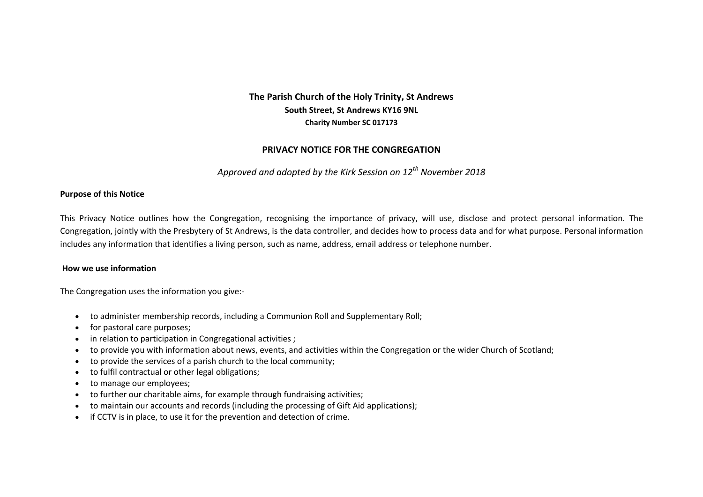# **The Parish Church of the Holy Trinity, St Andrews South Street, St Andrews KY16 9NL Charity Number SC 017173**

# **PRIVACY NOTICE FOR THE CONGREGATION**

*Approved and adopted by the Kirk Session on 12th November 2018*

### **Purpose of this Notice**

This Privacy Notice outlines how the Congregation, recognising the importance of privacy, will use, disclose and protect personal information. The Congregation, jointly with the Presbytery of St Andrews, is the data controller, and decides how to process data and for what purpose. Personal information includes any information that identifies a living person, such as name, address, email address or telephone number.

#### **How we use information**

The Congregation uses the information you give:-

- to administer membership records, including a Communion Roll and Supplementary Roll;
- for pastoral care purposes;
- in relation to participation in Congregational activities ;
- to provide you with information about news, events, and activities within the Congregation or the wider Church of Scotland;
- to provide the services of a parish church to the local community;
- to fulfil contractual or other legal obligations;
- to manage our employees;
- to further our charitable aims, for example through fundraising activities;
- to maintain our accounts and records (including the processing of Gift Aid applications);
- if CCTV is in place, to use it for the prevention and detection of crime.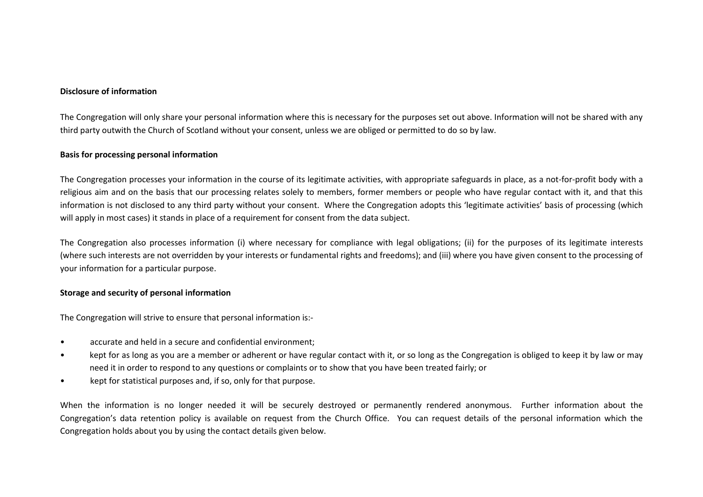#### **Disclosure of information**

The Congregation will only share your personal information where this is necessary for the purposes set out above. Information will not be shared with any third party outwith the Church of Scotland without your consent, unless we are obliged or permitted to do so by law.

#### **Basis for processing personal information**

The Congregation processes your information in the course of its legitimate activities, with appropriate safeguards in place, as a not-for-profit body with a religious aim and on the basis that our processing relates solely to members, former members or people who have regular contact with it, and that this information is not disclosed to any third party without your consent. Where the Congregation adopts this 'legitimate activities' basis of processing (which will apply in most cases) it stands in place of a requirement for consent from the data subject.

The Congregation also processes information (i) where necessary for compliance with legal obligations; (ii) for the purposes of its legitimate interests (where such interests are not overridden by your interests or fundamental rights and freedoms); and (iii) where you have given consent to the processing of your information for a particular purpose.

#### **Storage and security of personal information**

The Congregation will strive to ensure that personal information is:-

- accurate and held in a secure and confidential environment;
- kept for as long as you are a member or adherent or have regular contact with it, or so long as the Congregation is obliged to keep it by law or may need it in order to respond to any questions or complaints or to show that you have been treated fairly; or
- kept for statistical purposes and, if so, only for that purpose.

When the information is no longer needed it will be securely destroyed or permanently rendered anonymous. Further information about the Congregation's data retention policy is available on request from the Church Office*.* You can request details of the personal information which the Congregation holds about you by using the contact details given below.